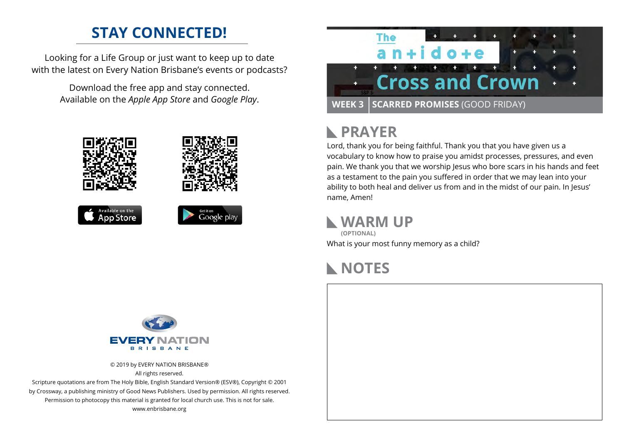## **STAY CONNECTED!**

Looking for a Life Group or just want to keep up to date with the latest on Every Nation Brisbane's events or podcasts?

> Download the free app and stay connected. Available on the *Apple App Store* and *Google Play*.





## **PRAYER**

Lord, thank you for being faithful. Thank you that you have given us a vocabulary to know how to praise you amidst processes, pressures, and even pain. We thank you that we worship Jesus who bore scars in his hands and feet as a testament to the pain you suffered in order that we may lean into your ability to both heal and deliver us from and in the midst of our pain. In Jesus' name, Amen!

### **WARM UP**

What is your most funny memory as a child? **(OPTIONAL)**

## **NOTES**



© 2019 by EVERY NATION BRISBANE® All rights reserved.

Scripture quotations are from The Holy Bible, English Standard Version® (ESV®), Copyright © 2001 by Crossway, a publishing ministry of Good News Publishers. Used by permission. All rights reserved. Permission to photocopy this material is granted for local church use. This is not for sale. www.enbrisbane.org